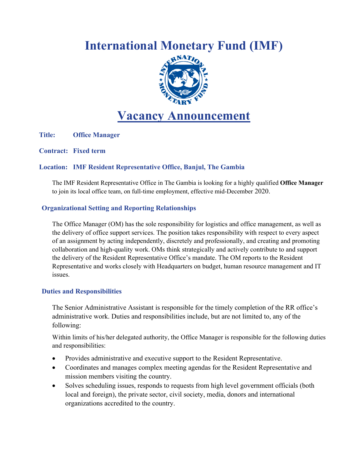# **Internation[al Monetary](https://www.imf.org/external/index.htm) Fund (IMF)**



## **Vacancy Announcement**

**Title: Office Manager**

**Contract: Fixed term**

#### **Location: IMF Resident Representative Office, Banjul, The Gambia**

The IMF Resident Representative Office in The Gambia is looking for a highly qualified **Office Manager** to join its local office team, on full-time employment, effective mid-December 2020.

#### **Organizational Setting and Reporting Relationships**

The Office Manager (OM) has the sole responsibility for logistics and office management, as well as the delivery of office support services. The position takes responsibility with respect to every aspect of an assignment by acting independently, discretely and professionally, and creating and promoting collaboration and high-quality work. OMs think strategically and actively contribute to and support the delivery of the Resident Representative Office's mandate. The OM reports to the Resident Representative and works closely with Headquarters on budget, human resource management and IT issues.

#### **Duties and Responsibilities**

The Senior Administrative Assistant is responsible for the timely completion of the RR office's administrative work. Duties and responsibilities include, but are not limited to, any of the following:

Within limits of his/her delegated authority, the Office Manager is responsible for the following duties and responsibilities:

- Provides administrative and executive support to the Resident Representative.
- Coordinates and manages complex meeting agendas for the Resident Representative and mission members visiting the country.
- Solves scheduling issues, responds to requests from high level government officials (both local and foreign), the private sector, civil society, media, donors and international organizations accredited to the country.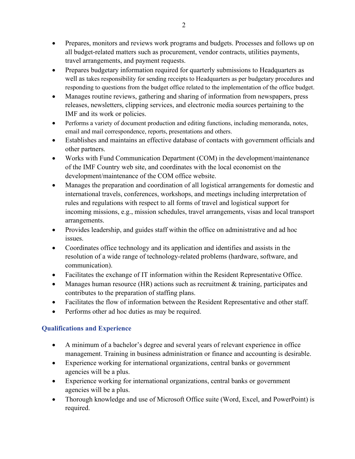- Prepares, monitors and reviews work programs and budgets. Processes and follows up on all budget-related matters such as procurement, vendor contracts, utilities payments, travel arrangements, and payment requests.
- Prepares budgetary information required for quarterly submissions to Headquarters as well as takes responsibility for sending receipts to Headquarters as per budgetary procedures and responding to questions from the budget office related to the implementation of the office budget.
- Manages routine reviews, gathering and sharing of information from newspapers, press releases, newsletters, clipping services, and electronic media sources pertaining to the IMF and its work or policies.
- Performs a variety of document production and editing functions, including memoranda, notes, email and mail correspondence, reports, presentations and others.
- Establishes and maintains an effective database of contacts with government officials and other partners.
- Works with Fund Communication Department (COM) in the development/maintenance of the IMF Country web site, and coordinates with the local economist on the development/maintenance of the COM office website.
- Manages the preparation and coordination of all logistical arrangements for domestic and international travels, conferences, workshops, and meetings including interpretation of rules and regulations with respect to all forms of travel and logistical support for incoming missions, e.g., mission schedules, travel arrangements, visas and local transport arrangements.
- Provides leadership, and guides staff within the office on administrative and ad hoc issues.
- Coordinates office technology and its application and identifies and assists in the resolution of a wide range of technology-related problems (hardware, software, and communication).
- Facilitates the exchange of IT information within the Resident Representative Office.
- Manages human resource (HR) actions such as recruitment & training, participates and contributes to the preparation of staffing plans.
- Facilitates the flow of information between the Resident Representative and other staff.
- Performs other ad hoc duties as may be required.

### **Qualifications and Experience**

- A minimum of a bachelor's degree and several years of relevant experience in office management. Training in business administration or finance and accounting is desirable.
- Experience working for international organizations, central banks or government agencies will be a plus.
- Experience working for international organizations, central banks or government agencies will be a plus.
- Thorough knowledge and use of Microsoft Office suite (Word, Excel, and PowerPoint) is required.